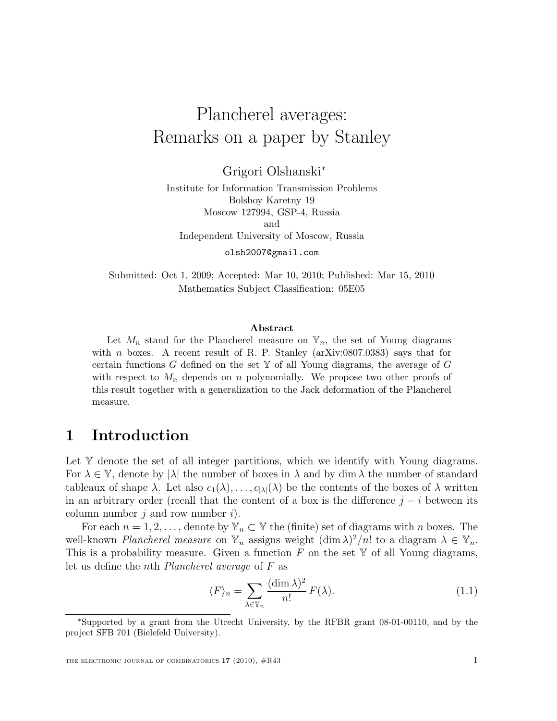# Plancherel averages: Remarks on a paper by Stanley

Grigori Olshanski<sup>∗</sup>

Institute for Information Transmission Problems Bolshoy Karetny 19 Moscow 127994, GSP-4, Russia and Independent University of Moscow, Russia

olsh2007@gmail.com

Submitted: Oct 1, 2009; Accepted: Mar 10, 2010; Published: Mar 15, 2010 Mathematics Subject Classification: 05E05

#### Abstract

Let  $M_n$  stand for the Plancherel measure on  $\mathbb{Y}_n$ , the set of Young diagrams with n boxes. A recent result of R. P. Stanley  $(\arXiv:0807.0383)$  says that for certain functions G defined on the set  $\mathbb Y$  of all Young diagrams, the average of G with respect to  $M_n$  depends on n polynomially. We propose two other proofs of this result together with a generalization to the Jack deformation of the Plancherel measure.

### 1 Introduction

Let Y denote the set of all integer partitions, which we identify with Young diagrams. For  $\lambda \in \mathbb{Y}$ , denote by  $|\lambda|$  the number of boxes in  $\lambda$  and by dim  $\lambda$  the number of standard tableaux of shape  $\lambda$ . Let also  $c_1(\lambda), \ldots, c_{|\lambda|}(\lambda)$  be the contents of the boxes of  $\lambda$  written in an arbitrary order (recall that the content of a box is the difference  $j - i$  between its column number  $j$  and row number  $i$ ).

For each  $n = 1, 2, \ldots$ , denote by  $\mathbb{Y}_n \subset \mathbb{Y}$  the (finite) set of diagrams with n boxes. The well-known *Plancherel measure* on  $\mathbb{Y}_n$  assigns weight  $(\dim \lambda)^2/n!$  to a diagram  $\lambda \in \mathbb{Y}_n$ . This is a probability measure. Given a function  $F$  on the set  $\mathbb Y$  of all Young diagrams, let us define the nth Plancherel average of F as

$$
\langle F \rangle_n = \sum_{\lambda \in \mathbb{Y}_n} \frac{(\dim \lambda)^2}{n!} F(\lambda). \tag{1.1}
$$

<sup>∗</sup>Supported by a grant from the Utrecht University, by the RFBR grant 08-01-00110, and by the project SFB 701 (Bielefeld University).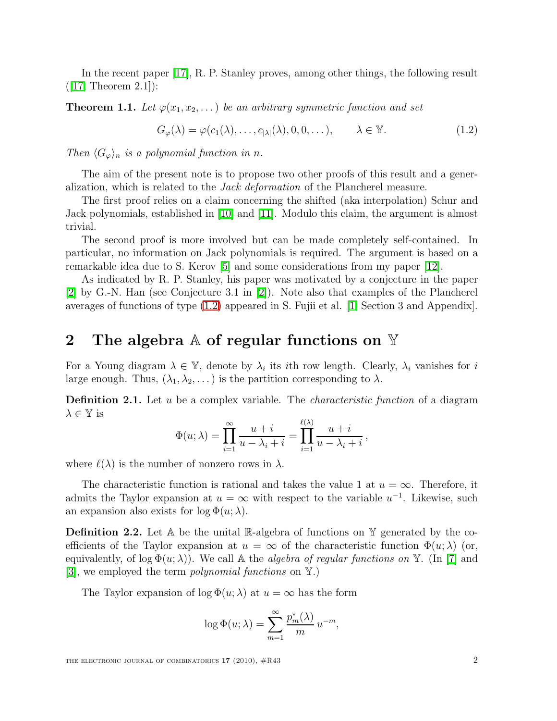<span id="page-1-1"></span>In the recent paper [\[17\]](#page-15-0), R. P. Stanley proves, among other things, the following result  $([17,$  $([17,$  Theorem  $[2.1])$ :

<span id="page-1-0"></span>**Theorem 1.1.** Let  $\varphi(x_1, x_2, \ldots)$  be an arbitrary symmetric function and set

$$
G_{\varphi}(\lambda) = \varphi(c_1(\lambda), \dots, c_{|\lambda|}(\lambda), 0, 0, \dots), \qquad \lambda \in \mathbb{Y}.
$$
 (1.2)

Then  $\langle G_{\varphi} \rangle_n$  is a polynomial function in n.

The aim of the present note is to propose two other proofs of this result and a generalization, which is related to the Jack deformation of the Plancherel measure.

The first proof relies on a claim concerning the shifted (aka interpolation) Schur and Jack polynomials, established in [\[10\]](#page-14-0) and [\[11\]](#page-14-1). Modulo this claim, the argument is almost trivial.

The second proof is more involved but can be made completely self-contained. In particular, no information on Jack polynomials is required. The argument is based on a remarkable idea due to S. Kerov [\[5\]](#page-14-2) and some considerations from my paper [\[12\]](#page-14-3).

As indicated by R. P. Stanley, his paper was motivated by a conjecture in the paper [\[2\]](#page-14-4) by G.-N. Han (see Conjecture 3.1 in [\[2\]](#page-14-4)). Note also that examples of the Plancherel averages of functions of type [\(1.2\)](#page-1-0) appeared in S. Fujii et al. [\[1,](#page-14-5) Section 3 and Appendix].

# <span id="page-1-2"></span>2 The algebra  $\mathbb A$  of regular functions on  $\mathbb {Y}$

For a Young diagram  $\lambda \in \mathbb{Y}$ , denote by  $\lambda_i$  its *i*th row length. Clearly,  $\lambda_i$  vanishes for *i* large enough. Thus,  $(\lambda_1, \lambda_2, ...)$  is the partition corresponding to  $\lambda$ .

**Definition 2.1.** Let  $u$  be a complex variable. The *characteristic function* of a diagram  $\lambda \in \mathbb{Y}$  is

$$
\Phi(u;\lambda) = \prod_{i=1}^{\infty} \frac{u+i}{u-\lambda_i+i} = \prod_{i=1}^{\ell(\lambda)} \frac{u+i}{u-\lambda_i+i},
$$

where  $\ell(\lambda)$  is the number of nonzero rows in  $\lambda$ .

The characteristic function is rational and takes the value 1 at  $u = \infty$ . Therefore, it admits the Taylor expansion at  $u = \infty$  with respect to the variable  $u^{-1}$ . Likewise, such an expansion also exists for  $\log \Phi(u; \lambda)$ .

**Definition 2.2.** Let  $A$  be the unital  $\mathbb{R}$ -algebra of functions on  $\mathbb{Y}$  generated by the coefficients of the Taylor expansion at  $u = \infty$  of the characteristic function  $\Phi(u; \lambda)$  (or, equivalently, of log  $\Phi(u; \lambda)$ ). We call A the *algebra of regular functions on* Y. (In [\[7\]](#page-14-6) and [\[3\]](#page-14-7), we employed the term *polynomial functions* on  $\mathbb{Y}$ .)

The Taylor expansion of  $\log \Phi(u; \lambda)$  at  $u = \infty$  has the form

$$
\log \Phi(u; \lambda) = \sum_{m=1}^{\infty} \frac{p_m^*(\lambda)}{m} u^{-m},
$$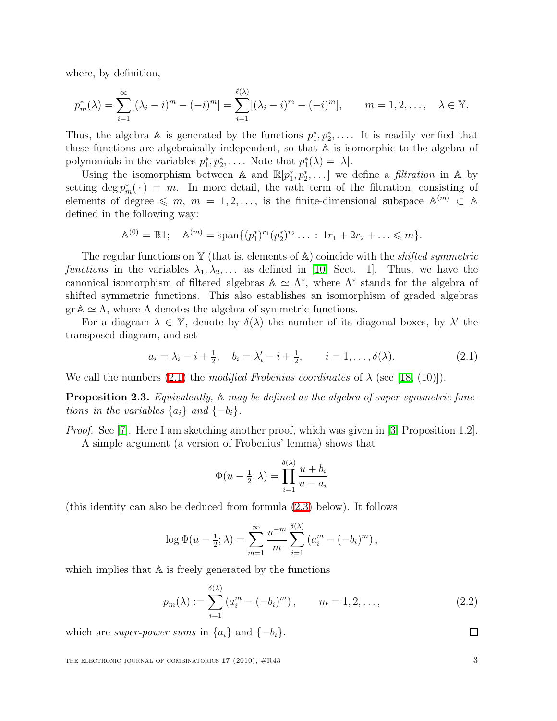where, by definition,

$$
p_m^*(\lambda) = \sum_{i=1}^{\infty} [(\lambda_i - i)^m - (-i)^m] = \sum_{i=1}^{\ell(\lambda)} [(\lambda_i - i)^m - (-i)^m], \qquad m = 1, 2, \dots, \quad \lambda \in \mathbb{Y}.
$$

Thus, the algebra A is generated by the functions  $p_1^*, p_2^*, \ldots$ . It is readily verified that these functions are algebraically independent, so that A is isomorphic to the algebra of polynomials in the variables  $p_1^*, p_2^*, \ldots$ . Note that  $p_1^*(\lambda) = |\lambda|$ .

Using the isomorphism between A and  $\mathbb{R}[p_1^*, p_2^*, \dots]$  we define a *filtration* in A by setting  $\deg p_m^*(\cdot) = m$ . In more detail, the mth term of the filtration, consisting of elements of degree  $\leqslant m, m = 1, 2, \ldots$ , is the finite-dimensional subspace  $\mathbb{A}^{(m)} \subset \mathbb{A}$ defined in the following way:

$$
\mathbb{A}^{(0)} = \mathbb{R}1; \quad \mathbb{A}^{(m)} = \text{span}\{(p_1^*)^{r_1}(p_2^*)^{r_2}\ldots : 1r_1 + 2r_2 + \ldots \leq m\}.
$$

The regular functions on Y (that is, elements of A) coincide with the *shifted symmetric* functions in the variables  $\lambda_1, \lambda_2, \ldots$  as defined in [\[10,](#page-14-0) Sect. 1]. Thus, we have the canonical isomorphism of filtered algebras  $\mathbb{A} \simeq \Lambda^*$ , where  $\Lambda^*$  stands for the algebra of shifted symmetric functions. This also establishes an isomorphism of graded algebras  $\text{gr } A \simeq \Lambda$ , where  $\Lambda$  denotes the algebra of symmetric functions.

<span id="page-2-0"></span>For a diagram  $\lambda \in \mathbb{Y}$ , denote by  $\delta(\lambda)$  the number of its diagonal boxes, by  $\lambda'$  the transposed diagram, and set

$$
a_i = \lambda_i - i + \frac{1}{2}, \quad b_i = \lambda'_i - i + \frac{1}{2}, \quad i = 1, ..., \delta(\lambda).
$$
 (2.1)

<span id="page-2-1"></span>We call the numbers  $(2.1)$  the modified Frobenius coordinates of  $\lambda$  (see [\[18,](#page-15-1) (10)]).

**Proposition 2.3.** Equivalently,  $\mathbb{A}$  may be defined as the algebra of super-symmetric functions in the variables  $\{a_i\}$  and  $\{-b_i\}$ .

Proof. See [\[7\]](#page-14-6). Here I am sketching another proof, which was given in [\[3,](#page-14-7) Proposition 1.2]. A simple argument (a version of Frobenius' lemma) shows that

$$
\Phi(u - \frac{1}{2}; \lambda) = \prod_{i=1}^{\delta(\lambda)} \frac{u + b_i}{u - a_i}
$$

(this identity can also be deduced from formula [\(2.3\)](#page-3-0) below). It follows

$$
\log \Phi(u - \frac{1}{2}; \lambda) = \sum_{m=1}^{\infty} \frac{u^{-m}}{m} \sum_{i=1}^{\delta(\lambda)} (a_i^m - (-b_i)^m),
$$

<span id="page-2-2"></span>which implies that  $A$  is freely generated by the functions

$$
p_m(\lambda) := \sum_{i=1}^{\delta(\lambda)} \left( a_i^m - (-b_i)^m \right), \qquad m = 1, 2, \dots,
$$
 (2.2)

which are *super-power sums* in  $\{a_i\}$  and  $\{-b_i\}$ .

THE ELECTRONIC JOURNAL OF COMBINATORICS  $17$  (2010),  $\#R43$  3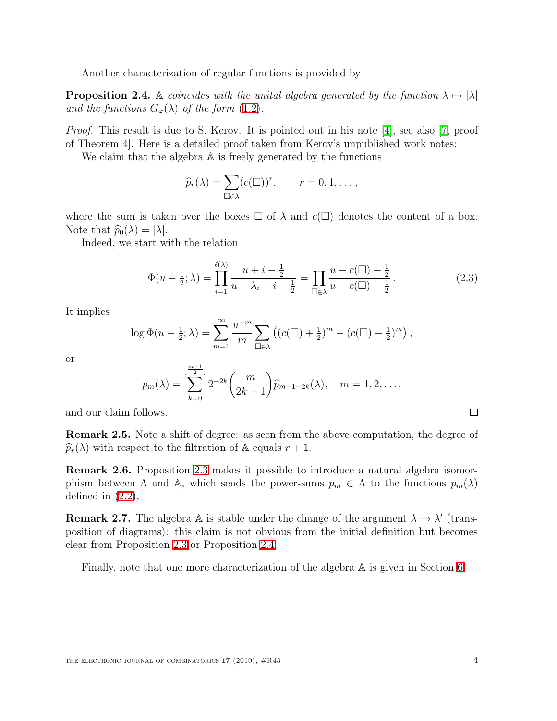Another characterization of regular functions is provided by

<span id="page-3-1"></span>**Proposition 2.4.** A coincides with the unital algebra generated by the function  $\lambda \mapsto |\lambda|$ and the functions  $G_{\varphi}(\lambda)$  of the form [\(1.2\)](#page-1-0).

Proof. This result is due to S. Kerov. It is pointed out in his note [\[4\]](#page-14-8), see also [\[7,](#page-14-6) proof of Theorem 4]. Here is a detailed proof taken from Kerov's unpublished work notes:

We claim that the algebra  $A$  is freely generated by the functions

$$
\widehat{p}_r(\lambda) = \sum_{\square \in \lambda} (c(\square))^r, \qquad r = 0, 1, \dots,
$$

where the sum is taken over the boxes  $\Box$  of  $\lambda$  and  $c(\Box)$  denotes the content of a box. Note that  $\widehat{p}_0(\lambda) = |\lambda|$ .

<span id="page-3-0"></span>Indeed, we start with the relation

$$
\Phi(u - \frac{1}{2}; \lambda) = \prod_{i=1}^{\ell(\lambda)} \frac{u + i - \frac{1}{2}}{u - \lambda_i + i - \frac{1}{2}} = \prod_{\square \in \lambda} \frac{u - c(\square) + \frac{1}{2}}{u - c(\square) - \frac{1}{2}}.
$$
\n(2.3)

It implies

$$
\log \Phi(u - \frac{1}{2}; \lambda) = \sum_{m=1}^{\infty} \frac{u^{-m}}{m} \sum_{\Box \in \lambda} \left( (c(\Box) + \frac{1}{2})^m - (c(\Box) - \frac{1}{2})^m \right),
$$

or

$$
p_m(\lambda) = \sum_{k=0}^{\left[\frac{m-1}{2}\right]} 2^{-2k} {m \choose 2k+1} \widehat{p}_{m-1-2k}(\lambda), \quad m = 1, 2, \dots,
$$

and our claim follows.

Remark 2.5. Note a shift of degree: as seen from the above computation, the degree of  $\widehat{p}_r(\lambda)$  with respect to the filtration of A equals  $r+1$ .

<span id="page-3-2"></span>Remark 2.6. Proposition [2.3](#page-2-1) makes it possible to introduce a natural algebra isomorphism between  $\Lambda$  and  $\mathbb{A}$ , which sends the power-sums  $p_m \in \Lambda$  to the functions  $p_m(\lambda)$ defined in  $(2.2)$ ,

**Remark 2.7.** The algebra A is stable under the change of the argument  $\lambda \mapsto \lambda'$  (transposition of diagrams): this claim is not obvious from the initial definition but becomes clear from Proposition [2.3](#page-2-1) or Proposition [2.4.](#page-3-1)

Finally, note that one more characterization of the algebra A is given in Section [6.](#page-8-0)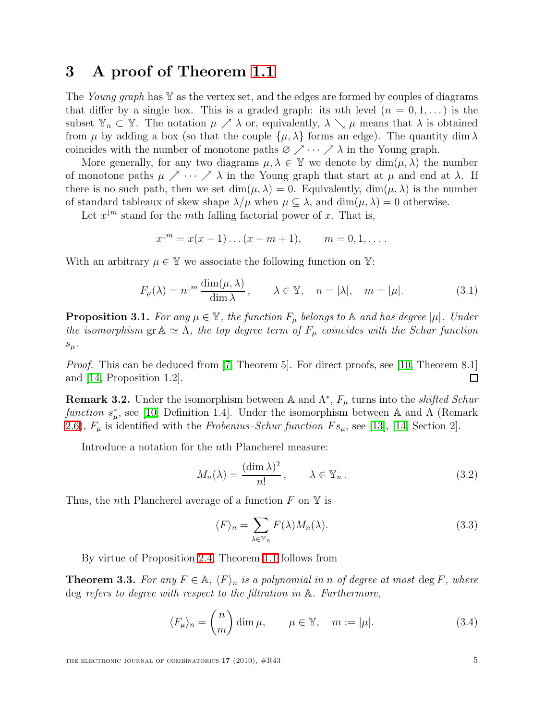# 3 A proof of Theorem [1.1](#page-1-1)

The Young graph has  $\mathbb Y$  as the vertex set, and the edges are formed by couples of diagrams that differ by a single box. This is a graded graph: its nth level  $(n = 0, 1, ...)$  is the subset  $\mathbb{Y}_n \subset \mathbb{Y}$ . The notation  $\mu \nearrow \lambda$  or, equivalently,  $\lambda \searrow \mu$  means that  $\lambda$  is obtained from  $\mu$  by adding a box (so that the couple  $\{\mu, \lambda\}$  forms an edge). The quantity dim  $\lambda$ coincides with the number of monotone paths  $\varnothing \nearrow \cdots \nearrow \lambda$  in the Young graph.

More generally, for any two diagrams  $\mu, \lambda \in \mathbb{Y}$  we denote by  $\dim(\mu, \lambda)$  the number of monotone paths  $\mu \nearrow \cdots \nearrow \lambda$  in the Young graph that start at  $\mu$  and end at  $\lambda$ . If there is no such path, then we set  $\dim(\mu, \lambda) = 0$ . Equivalently,  $\dim(\mu, \lambda)$  is the number of standard tableaux of skew shape  $\lambda/\mu$  when  $\mu \subseteq \lambda$ , and  $\dim(\mu, \lambda) = 0$  otherwise.

Let  $x^{\downarrow m}$  stand for the mth falling factorial power of x. That is,

$$
x^{\downarrow m} = x(x-1)...(x-m+1),
$$
  $m = 0, 1, ...$ 

<span id="page-4-1"></span>With an arbitrary  $\mu \in \mathbb{Y}$  we associate the following function on Y:

$$
F_{\mu}(\lambda) = n^{\downarrow m} \frac{\dim(\mu, \lambda)}{\dim \lambda}, \qquad \lambda \in \mathbb{Y}, \quad n = |\lambda|, \quad m = |\mu|.
$$
 (3.1)

<span id="page-4-2"></span>**Proposition 3.1.** For any  $\mu \in \mathbb{Y}$ , the function  $F_{\mu}$  belongs to  $\mathbb{A}$  and has degree  $|\mu|$ . Under the isomorphism gr  $\mathbb{A} \simeq \Lambda$ , the top degree term of  $F_{\mu}$  coincides with the Schur function  $s_\mu$ .

Proof. This can be deduced from [\[7,](#page-14-6) Theorem 5]. For direct proofs, see [\[10,](#page-14-0) Theorem 8.1] and [\[14,](#page-14-9) Proposition 1.2]. 囗

**Remark 3.2.** Under the isomorphism between  $\mathbb{A}$  and  $\Lambda^*$ ,  $F_\mu$  turns into the *shifted Schur* function  $s^*_{\mu}$ , see [\[10,](#page-14-0) Definition 1.4]. Under the isomorphism between A and  $\Lambda$  (Remark [2.6\)](#page-3-2),  $F_{\mu}$  is identified with the Frobenius–Schur function  $Fs_{\mu}$ , see [\[13\]](#page-14-10), [\[14,](#page-14-9) Section 2].

<span id="page-4-4"></span>Introduce a notation for the nth Plancherel measure:

<span id="page-4-5"></span>
$$
M_n(\lambda) = \frac{(\dim \lambda)^2}{n!}, \qquad \lambda \in \mathbb{Y}_n. \tag{3.2}
$$

Thus, the *n*th Plancherel average of a function  $F$  on  $\mathbb Y$  is

$$
\langle F \rangle_n = \sum_{\lambda \in \mathbb{Y}_n} F(\lambda) M_n(\lambda). \tag{3.3}
$$

By virtue of Proposition [2.4,](#page-3-1) Theorem [1.1](#page-1-1) follows from

<span id="page-4-3"></span><span id="page-4-0"></span>**Theorem 3.3.** For any  $F \in \mathbb{A}$ ,  $\langle F \rangle_n$  is a polynomial in n of degree at most deg F, where deg refers to degree with respect to the filtration in A. Furthermore,

$$
\langle F_{\mu} \rangle_n = \binom{n}{m} \dim \mu, \qquad \mu \in \mathbb{Y}, \quad m := |\mu|.
$$
 (3.4)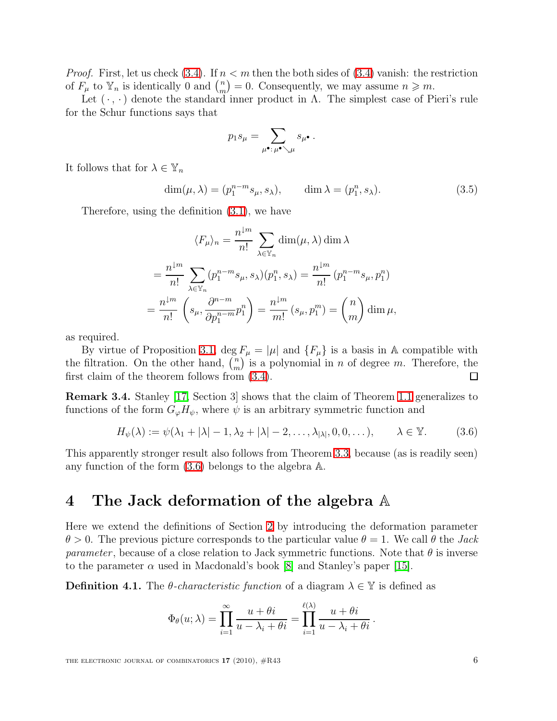*Proof.* First, let us check [\(3.4\)](#page-4-0). If  $n < m$  then the both sides of (3.4) vanish: the restriction of  $F_{\mu}$  to  $\mathbb{Y}_n$  is identically 0 and  $\binom{n}{m}$  $\binom{n}{m} = 0$ . Consequently, we may assume  $n \geq m$ .

Let  $(\cdot, \cdot)$  denote the standard inner product in  $\Lambda$ . The simplest case of Pieri's rule for the Schur functions says that

$$
p_1s_\mu = \sum_{\mu^\bullet:\,\mu^\bullet\searrow\mu} s_{\mu^\bullet} \,.
$$

<span id="page-5-1"></span>It follows that for  $\lambda \in \mathbb{Y}_n$ 

$$
\dim(\mu, \lambda) = (p_1^{n-m} s_\mu, s_\lambda), \qquad \dim \lambda = (p_1^n, s_\lambda). \tag{3.5}
$$

Therefore, using the definition [\(3.1\)](#page-4-1), we have

$$
\langle F_{\mu} \rangle_n = \frac{n^{\downarrow m}}{n!} \sum_{\lambda \in \mathbb{Y}_n} \dim(\mu, \lambda) \dim \lambda
$$
  
=  $\frac{n^{\downarrow m}}{n!} \sum_{\lambda \in \mathbb{Y}_n} (p_1^{n-m} s_{\mu}, s_{\lambda})(p_1^n, s_{\lambda}) = \frac{n^{\downarrow m}}{n!} (p_1^{n-m} s_{\mu}, p_1^n)$   
=  $\frac{n^{\downarrow m}}{n!} \left( s_{\mu}, \frac{\partial^{n-m}}{\partial p_1^{n-m}} p_1^n \right) = \frac{n^{\downarrow m}}{m!} (s_{\mu}, p_1^m) = {n \choose m} \dim \mu,$ 

as required.

By virtue of Proposition [3.1,](#page-4-2) deg  $F_{\mu} = |\mu|$  and  $\{F_{\mu}\}\$ is a basis in A compatible with the filtration. On the other hand,  $\binom{n}{m}$  $\binom{n}{m}$  is a polynomial in *n* of degree *m*. Therefore, the first claim of the theorem follows from [\(3.4\)](#page-4-0).  $\Box$ 

<span id="page-5-0"></span>Remark 3.4. Stanley [\[17,](#page-15-0) Section 3] shows that the claim of Theorem [1.1](#page-1-1) generalizes to functions of the form  $G_{\varphi}H_{\psi}$ , where  $\psi$  is an arbitrary symmetric function and

$$
H_{\psi}(\lambda) := \psi(\lambda_1 + |\lambda| - 1, \lambda_2 + |\lambda| - 2, \dots, \lambda_{|\lambda|}, 0, 0, \dots), \qquad \lambda \in \mathbb{Y}.
$$
 (3.6)

This apparently stronger result also follows from Theorem [3.3,](#page-4-3) because (as is readily seen) any function of the form [\(3.6\)](#page-5-0) belongs to the algebra A.

# 4 The Jack deformation of the algebra A

Here we extend the definitions of Section [2](#page-1-2) by introducing the deformation parameter  $\theta > 0$ . The previous picture corresponds to the particular value  $\theta = 1$ . We call  $\theta$  the *Jack parameter*, because of a close relation to Jack symmetric functions. Note that  $\theta$  is inverse to the parameter  $\alpha$  used in Macdonald's book [\[8\]](#page-14-11) and Stanley's paper [\[15\]](#page-15-2).

**Definition 4.1.** The  $\theta$ -characteristic function of a diagram  $\lambda \in \mathbb{Y}$  is defined as

$$
\Phi_{\theta}(u;\lambda) = \prod_{i=1}^{\infty} \frac{u+\theta i}{u-\lambda_i+\theta i} = \prod_{i=1}^{\ell(\lambda)} \frac{u+\theta i}{u-\lambda_i+\theta i}.
$$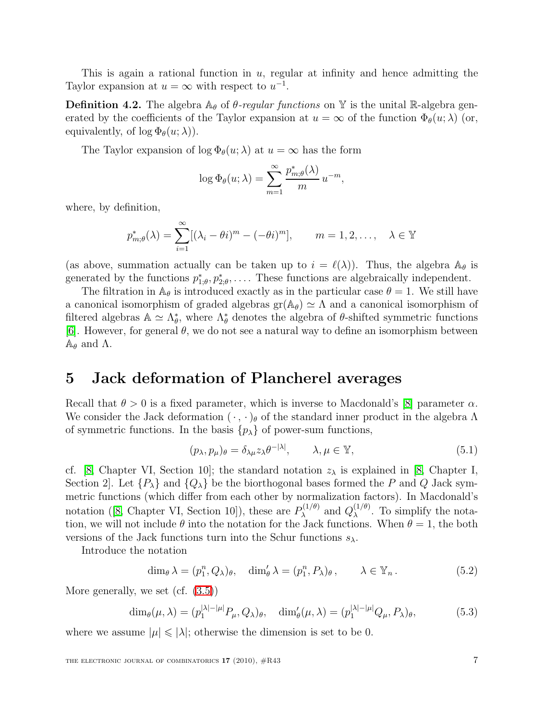This is again a rational function in  $u$ , regular at infinity and hence admitting the Taylor expansion at  $u = \infty$  with respect to  $u^{-1}$ .

**Definition 4.2.** The algebra  $\mathbb{A}_{\theta}$  of  $\theta$ -regular functions on Y is the unital R-algebra generated by the coefficients of the Taylor expansion at  $u = \infty$  of the function  $\Phi_{\theta}(u; \lambda)$  (or, equivalently, of  $\log \Phi_{\theta}(u; \lambda)$ .

The Taylor expansion of  $\log \Phi_{\theta}(u; \lambda)$  at  $u = \infty$  has the form

$$
\log \Phi_{\theta}(u; \lambda) = \sum_{m=1}^{\infty} \frac{p_{m; \theta}^*(\lambda)}{m} u^{-m},
$$

where, by definition,

$$
p_{m;\theta}^*(\lambda) = \sum_{i=1}^{\infty} [(\lambda_i - \theta i)^m - (-\theta i)^m], \qquad m = 1, 2, \dots, \quad \lambda \in \mathbb{Y}
$$

(as above, summation actually can be taken up to  $i = \ell(\lambda)$ ). Thus, the algebra  $\mathbb{A}_{\theta}$  is generated by the functions  $p_{1,\theta}^*, p_{2,\theta}^*, \ldots$ . These functions are algebraically independent.

The filtration in  $\mathbb{A}_{\theta}$  is introduced exactly as in the particular case  $\theta = 1$ . We still have a canonical isomorphism of graded algebras  $gr(A_\theta) \simeq \Lambda$  and a canonical isomorphism of filtered algebras  $\mathbb{A} \simeq \Lambda_{\theta}^*$ , where  $\Lambda_{\theta}^*$  denotes the algebra of  $\theta$ -shifted symmetric functions [\[6\]](#page-14-12). However, for general  $\theta$ , we do not see a natural way to define an isomorphism between  $\mathbb{A}_{\theta}$  and  $\Lambda$ .

### 5 Jack deformation of Plancherel averages

Recall that  $\theta > 0$  is a fixed parameter, which is inverse to Macdonald's [\[8\]](#page-14-11) parameter  $\alpha$ . We consider the Jack deformation  $(\cdot, \cdot)_{\theta}$  of the standard inner product in the algebra  $\Lambda$ of symmetric functions. In the basis  $\{p_{\lambda}\}\$  of power-sum functions,

$$
(p_{\lambda}, p_{\mu})_{\theta} = \delta_{\lambda\mu} z_{\lambda} \theta^{-|\lambda|}, \qquad \lambda, \mu \in \mathbb{Y}, \tag{5.1}
$$

cf. [\[8,](#page-14-11) Chapter VI, Section 10]; the standard notation  $z_{\lambda}$  is explained in [8, Chapter I, Section 2. Let  $\{P_\lambda\}$  and  $\{Q_\lambda\}$  be the biorthogonal bases formed the P and Q Jack symmetric functions (which differ from each other by normalization factors). In Macdonald's notation ([\[8,](#page-14-11) Chapter VI, Section 10]), these are  $P_{\lambda}^{(1/\theta)}$  $Q_{\lambda}^{(1/\theta)}$  and  $Q_{\lambda}^{(1/\theta)}$  $\lambda^{(1/\theta)}$ . To simplify the notation, we will not include  $\theta$  into the notation for the Jack functions. When  $\theta = 1$ , the both versions of the Jack functions turn into the Schur functions  $s_{\lambda}$ .

<span id="page-6-0"></span>Introduce the notation

$$
\dim_{\theta} \lambda = (p_1^n, Q_{\lambda})_{\theta}, \quad \dim_{\theta}^{\prime} \lambda = (p_1^n, P_{\lambda})_{\theta}, \qquad \lambda \in \mathbb{Y}_n.
$$
 (5.2)

<span id="page-6-1"></span>More generally, we set (cf. [\(3.5\)](#page-5-1))

$$
\dim_{\theta}(\mu,\lambda) = (p_1^{|\lambda|-|\mu|} P_{\mu}, Q_{\lambda})_{\theta}, \quad \dim_{\theta}'(\mu,\lambda) = (p_1^{|\lambda|-|\mu|} Q_{\mu}, P_{\lambda})_{\theta}, \tag{5.3}
$$

<span id="page-6-2"></span>where we assume  $|\mu| \leq |\lambda|$ ; otherwise the dimension is set to be 0.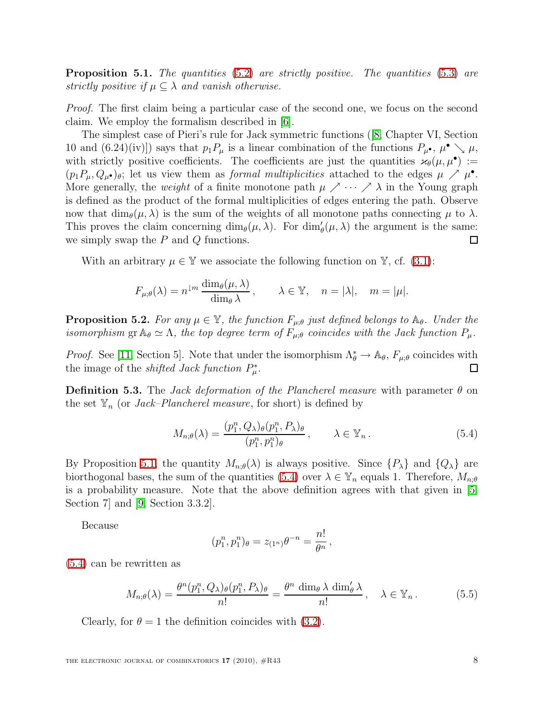**Proposition 5.1.** The quantities  $(5.2)$  are strictly positive. The quantities  $(5.3)$  are strictly positive if  $\mu \subseteq \lambda$  and vanish otherwise.

Proof. The first claim being a particular case of the second one, we focus on the second claim. We employ the formalism described in [\[6\]](#page-14-12).

The simplest case of Pieri's rule for Jack symmetric functions ([\[8,](#page-14-11) Chapter VI, Section 10 and (6.24)(iv)]) says that  $p_1 P_\mu$  is a linear combination of the functions  $P_\mu \bullet, \mu \bullet \searrow \mu$ , with strictly positive coefficients. The coefficients are just the quantities  $\varkappa_{\theta}(\mu,\mu^{\bullet})$  :=  $(p_1P_\mu,Q_\mu\bullet)_\theta$ ; let us view them as *formal multiplicities* attached to the edges  $\mu \nearrow \mu^{\bullet}$ . More generally, the *weight* of a finite monotone path  $\mu \nearrow \cdots \nearrow \lambda$  in the Young graph is defined as the product of the formal multiplicities of edges entering the path. Observe now that  $\dim_{\theta}(\mu, \lambda)$  is the sum of the weights of all monotone paths connecting  $\mu$  to  $\lambda$ . This proves the claim concerning  $\dim_{\theta}(\mu, \lambda)$ . For  $\dim'_{\theta}(\mu, \lambda)$  the argument is the same: we simply swap the  $P$  and  $Q$  functions.  $\Box$ 

With an arbitrary  $\mu \in \mathbb{Y}$  we associate the following function on  $\mathbb{Y}$ , cf. [\(3.1\)](#page-4-1):

$$
F_{\mu;\theta}(\lambda) = n^{\downarrow m} \frac{\dim_{\theta}(\mu,\lambda)}{\dim_{\theta}\lambda}, \qquad \lambda \in \mathbb{Y}, \quad n = |\lambda|, \quad m = |\mu|.
$$

<span id="page-7-1"></span>**Proposition 5.2.** For any  $\mu \in \mathbb{Y}$ , the function  $F_{\mu;\theta}$  just defined belongs to  $\mathbb{A}_{\theta}$ . Under the isomorphism gr  $\mathbb{A}_{\theta} \simeq \Lambda$ , the top degree term of  $F_{\mu;\theta}$  coincides with the Jack function  $P_{\mu}$ .

*Proof.* See [\[11,](#page-14-1) Section 5]. Note that under the isomorphism  $\Lambda_{\theta}^* \to \Lambda_{\theta}$ ,  $F_{\mu;\theta}$  coincides with the image of the *shifted Jack function*  $P^*_{\mu}$ .  $\Box$ 

<span id="page-7-0"></span>**Definition 5.3.** The Jack deformation of the Plancherel measure with parameter  $\theta$  on the set  $\mathbb{Y}_n$  (or *Jack–Plancherel measure*, for short) is defined by

$$
M_{n;\theta}(\lambda) = \frac{(p_1^n, Q_\lambda)_{\theta}(p_1^n, P_\lambda)_{\theta}}{(p_1^n, p_1^n)_{\theta}}, \qquad \lambda \in \mathbb{Y}_n.
$$
 (5.4)

By Proposition [5.1,](#page-6-2) the quantity  $M_{n;\theta}(\lambda)$  is always positive. Since  $\{P_{\lambda}\}\$ and  $\{Q_{\lambda}\}\$ are biorthogonal bases, the sum of the quantities [\(5.4\)](#page-7-0) over  $\lambda \in \mathbb{Y}_n$  equals 1. Therefore,  $M_{n;\theta}$ is a probability measure. Note that the above definition agrees with that given in [\[5,](#page-14-2) Section 7] and [\[9,](#page-14-13) Section 3.3.2].

Because

$$
(p_1^n, p_1^n)_{\theta} = z_{(1^n)} \theta^{-n} = \frac{n!}{\theta^n},
$$

[\(5.4\)](#page-7-0) can be rewritten as

$$
M_{n;\theta}(\lambda) = \frac{\theta^n(p_1^n, Q_\lambda)_{\theta}(p_1^n, P_\lambda)_{\theta}}{n!} = \frac{\theta^n \dim_{\theta} \lambda \dim_{\theta}' \lambda}{n!}, \quad \lambda \in \mathbb{Y}_n.
$$
 (5.5)

Clearly, for  $\theta = 1$  the definition coincides with [\(3.2\)](#page-4-4).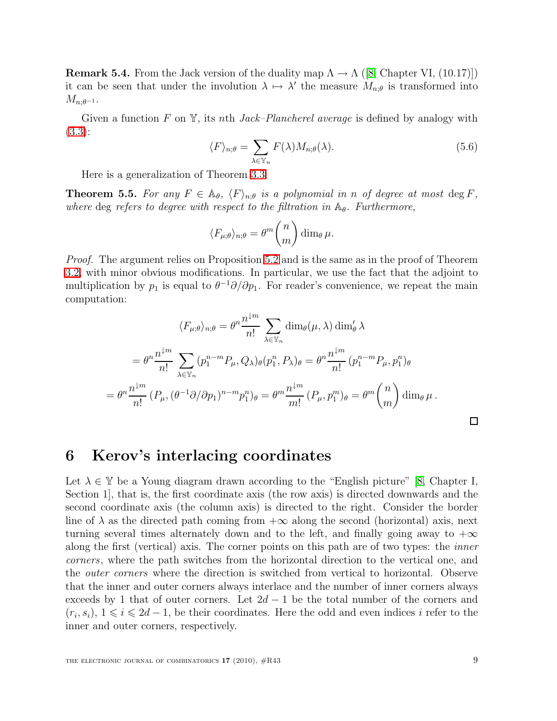**Remark 5.4.** From the Jack version of the duality map  $\Lambda \to \Lambda$  ([\[8,](#page-14-11) Chapter VI, (10.17]]) it can be seen that under the involution  $\lambda \mapsto \lambda'$  the measure  $M_{n;\theta}$  is transformed into  $M_{n;\theta^{-1}}$ .

Given a function F on Y, its nth *Jack–Plancherel average* is defined by analogy with [\(3.3\)](#page-4-5):

$$
\langle F \rangle_{n;\theta} = \sum_{\lambda \in \mathbb{Y}_n} F(\lambda) M_{n;\theta}(\lambda). \tag{5.6}
$$

Here is a generalization of Theorem [3.3:](#page-4-3)

<span id="page-8-1"></span>**Theorem 5.5.** For any  $F \in \mathbb{A}_{\theta}$ ,  $\langle F \rangle_{n;\theta}$  is a polynomial in n of degree at most deg F, where deg refers to degree with respect to the filtration in  $\mathbb{A}_{\theta}$ . Furthermore,

$$
\langle F_{\mu;\theta} \rangle_{n;\theta} = \theta^m \binom{n}{m} \dim_{\theta} \mu.
$$

*Proof.* The argument relies on Proposition [5.2](#page-7-1) and is the same as in the proof of Theorem [3.2,](#page-4-4) with minor obvious modifications. In particular, we use the fact that the adjoint to multiplication by  $p_1$  is equal to  $\theta^{-1}\partial/\partial p_1$ . For reader's convenience, we repeat the main computation:

$$
\langle F_{\mu;\theta} \rangle_{n;\theta} = \theta^n \frac{n^{\downarrow m}}{n!} \sum_{\lambda \in \mathbb{Y}_n} \dim_{\theta}(\mu, \lambda) \dim_{\theta}' \lambda
$$
  
=  $\theta^n \frac{n^{\downarrow m}}{n!} \sum_{\lambda \in \mathbb{Y}_n} (p_1^{n-m} P_{\mu}, Q_{\lambda})_{\theta} (p_1^n, P_{\lambda})_{\theta} = \theta^n \frac{n^{\downarrow m}}{n!} (p_1^{n-m} P_{\mu}, p_1^n)_{\theta}$   
=  $\theta^n \frac{n^{\downarrow m}}{n!} (P_{\mu}, (\theta^{-1}\partial/\partial p_1)^{n-m} p_1^n)_{\theta} = \theta^m \frac{n^{\downarrow m}}{m!} (P_{\mu}, p_1^m)_{\theta} = \theta^m {n \choose m} \dim_{\theta} \mu.$ 

# <span id="page-8-0"></span>6 Kerov's interlacing coordinates

Let  $\lambda \in \mathbb{Y}$  be a Young diagram drawn according to the "English picture" [\[8,](#page-14-11) Chapter I, Section 1], that is, the first coordinate axis (the row axis) is directed downwards and the second coordinate axis (the column axis) is directed to the right. Consider the border line of  $\lambda$  as the directed path coming from  $+\infty$  along the second (horizontal) axis, next turning several times alternately down and to the left, and finally going away to  $+\infty$ along the first (vertical) axis. The corner points on this path are of two types: the inner corners, where the path switches from the horizontal direction to the vertical one, and the outer corners where the direction is switched from vertical to horizontal. Observe that the inner and outer corners always interlace and the number of inner corners always exceeds by 1 that of outer corners. Let  $2d-1$  be the total number of the corners and  $(r_i, s_i)$ ,  $1 \leq i \leq 2d-1$ , be their coordinates. Here the odd and even indices i refer to the inner and outer corners, respectively.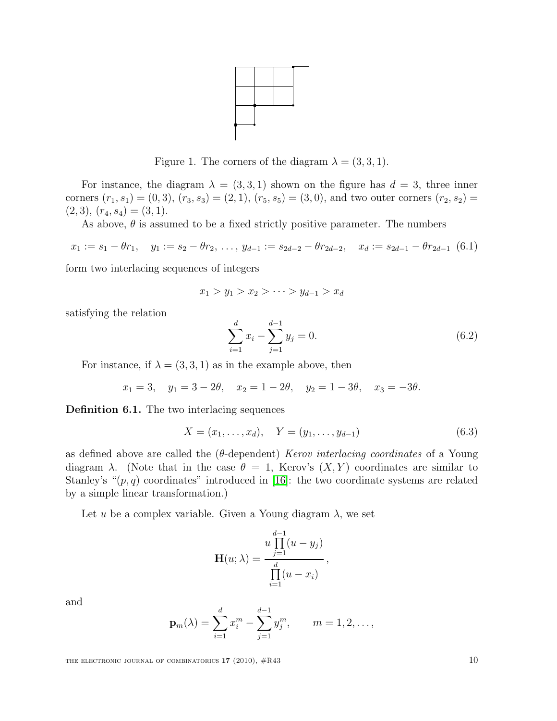

Figure 1. The corners of the diagram  $\lambda = (3, 3, 1)$ .

For instance, the diagram  $\lambda = (3, 3, 1)$  shown on the figure has  $d = 3$ , three inner corners  $(r_1, s_1) = (0, 3), (r_3, s_3) = (2, 1), (r_5, s_5) = (3, 0)$ , and two outer corners  $(r_2, s_2) =$  $(2, 3), (r_4, s_4) = (3, 1).$ 

As above,  $\theta$  is assumed to be a fixed strictly positive parameter. The numbers

<span id="page-9-2"></span>
$$
x_1 := s_1 - \theta r_1, \quad y_1 := s_2 - \theta r_2, \dots, \ y_{d-1} := s_{2d-2} - \theta r_{2d-2}, \quad x_d := s_{2d-1} - \theta r_{2d-1} \tag{6.1}
$$

form two interlacing sequences of integers

<span id="page-9-1"></span>
$$
x_1 > y_1 > x_2 > \cdots > y_{d-1} > x_d
$$

satisfying the relation

$$
\sum_{i=1}^{d} x_i - \sum_{j=1}^{d-1} y_j = 0.
$$
\n(6.2)

For instance, if  $\lambda = (3, 3, 1)$  as in the example above, then

$$
x_1 = 3
$$
,  $y_1 = 3 - 2\theta$ ,  $x_2 = 1 - 2\theta$ ,  $y_2 = 1 - 3\theta$ ,  $x_3 = -3\theta$ .

<span id="page-9-0"></span>Definition 6.1. The two interlacing sequences

$$
X = (x_1, \dots, x_d), \quad Y = (y_1, \dots, y_{d-1})
$$
\n(6.3)

as defined above are called the ( $\theta$ -dependent) Kerov interlacing coordinates of a Young diagram  $\lambda$ . (Note that in the case  $\theta = 1$ , Kerov's  $(X, Y)$  coordinates are similar to Stanley's " $(p, q)$  coordinates" introduced in [\[16\]](#page-15-3): the two coordinate systems are related by a simple linear transformation.)

Let u be a complex variable. Given a Young diagram  $\lambda$ , we set

$$
\mathbf{H}(u; \lambda) = \frac{u \prod_{j=1}^{d-1} (u - y_j)}{\prod_{i=1}^{d} (u - x_i)},
$$

and

$$
\mathbf{p}_m(\lambda) = \sum_{i=1}^d x_i^m - \sum_{j=1}^{d-1} y_j^m, \qquad m = 1, 2, \dots,
$$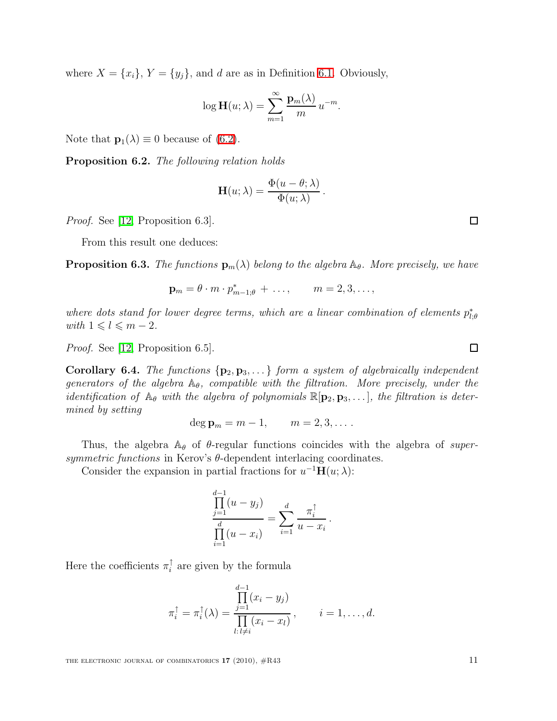where  $X = \{x_i\}, Y = \{y_j\}$ , and d are as in Definition [6.1.](#page-9-0) Obviously,

$$
\log \mathbf{H}(u; \lambda) = \sum_{m=1}^{\infty} \frac{\mathbf{p}_m(\lambda)}{m} u^{-m}.
$$

Note that  $\mathbf{p}_1(\lambda) \equiv 0$  because of [\(6.2\)](#page-9-1).

Proposition 6.2. The following relation holds

$$
\mathbf{H}(u;\lambda) = \frac{\Phi(u-\theta;\lambda)}{\Phi(u;\lambda)}.
$$

Proof. See [\[12,](#page-14-3) Proposition 6.3].

From this result one deduces:

**Proposition 6.3.** The functions  $\mathbf{p}_m(\lambda)$  belong to the algebra  $\mathbb{A}_{\theta}$ . More precisely, we have

$$
\mathbf{p}_m = \theta \cdot m \cdot p_{m-1;\theta}^* + \dots, \qquad m = 2, 3, \dots,
$$

where dots stand for lower degree terms, which are a linear combination of elements  $p_{l,\theta}^*$ with  $1 \leq l \leq m-2$ .

Proof. See [\[12,](#page-14-3) Proposition 6.5].

**Corollary 6.4.** The functions  $\{p_2, p_3, ...\}$  form a system of algebraically independent generators of the algebra  $\mathbb{A}_{\theta}$ , compatible with the filtration. More precisely, under the *identification of*  $\mathbb{A}_{\theta}$  with the algebra of polynomials  $\mathbb{R}[\mathbf{p}_2, \mathbf{p}_3, \ldots]$ , the filtration is determined by setting

$$
\deg \mathbf{p}_m = m-1, \qquad m = 2, 3, \dots.
$$

Thus, the algebra  $\mathbb{A}_{\theta}$  of  $\theta$ -regular functions coincides with the algebra of supersymmetric functions in Kerov's  $\theta$ -dependent interlacing coordinates.

Consider the expansion in partial fractions for  $u^{-1}H(u; \lambda)$ :

$$
\frac{\prod_{j=1}^{d-1} (u - y_j)}{\prod_{i=1}^{d} (u - x_i)} = \sum_{i=1}^{d} \frac{\pi_i^{\uparrow}}{u - x_i}.
$$

Here the coefficients  $\pi_i^{\uparrow}$  $i$  are given by the formula

$$
\pi_i^{\uparrow} = \pi_i^{\uparrow}(\lambda) = \frac{\prod_{j=1}^{d-1} (x_i - y_j)}{\prod_{l:l \neq i} (x_i - x_l)}, \qquad i = 1, \dots, d.
$$

 $\Box$ 

$$
\mathbb{Z}^{\mathbb{Z}}
$$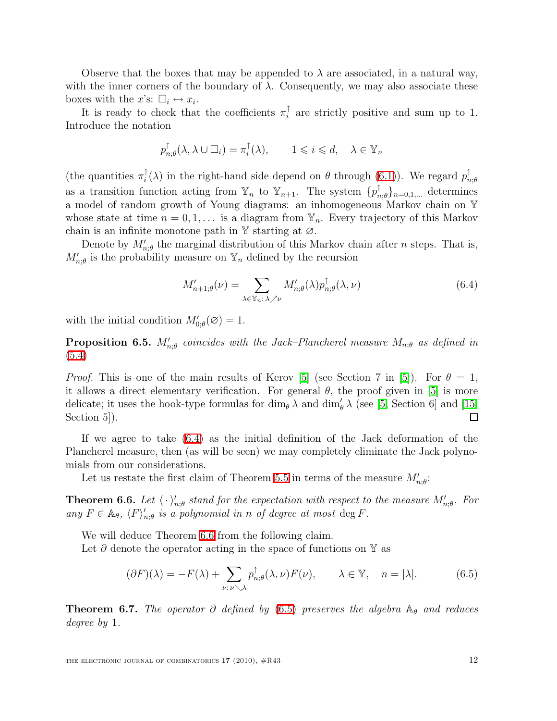Observe that the boxes that may be appended to  $\lambda$  are associated, in a natural way, with the inner corners of the boundary of  $\lambda$ . Consequently, we may also associate these boxes with the x's:  $\square_i \leftrightarrow x_i$ .

It is ready to check that the coefficients  $\pi_i^{\uparrow}$  $i$  are strictly positive and sum up to 1. Introduce the notation

$$
p^{\uparrow}_{n;\theta}(\lambda,\lambda\cup\Box_i)=\pi^{\uparrow}_i(\lambda), \qquad 1\leqslant i\leqslant d, \quad \lambda\in\Psi_n
$$

(the quantities  $\pi_i^{\uparrow}$  $\hat{i}(\lambda)$  in the right-hand side depend on  $\theta$  through [\(6.1\)](#page-9-2)). We regard  $p_n^{\uparrow}$  $_{n;\theta}$ as a transition function acting from  $\mathbb{Y}_n$  to  $\mathbb{Y}_{n+1}$ . The system  $\{p_n^{\uparrow}$  ${}_{n;\theta}^{\dagger}\}_{n=0,1,...}$  determines a model of random growth of Young diagrams: an inhomogeneous Markov chain on Y whose state at time  $n = 0, 1, \ldots$  is a diagram from  $\mathbb{Y}_n$ . Every trajectory of this Markov chain is an infinite monotone path in  $\mathbb Y$  starting at  $\varnothing$ .

<span id="page-11-0"></span>Denote by  $M'_{n;\theta}$  the marginal distribution of this Markov chain after *n* steps. That is,  $M'_{n;\theta}$  is the probability measure on  $\mathbb{Y}_n$  defined by the recursion

$$
M'_{n+1;\theta}(\nu) = \sum_{\lambda \in \mathbb{Y}_n : \lambda \nearrow \nu} M'_{n;\theta}(\lambda) p_{n;\theta}^{\uparrow}(\lambda, \nu) \tag{6.4}
$$

with the initial condition  $M'_{0;\theta}(\varnothing) = 1$ .

**Proposition 6.5.**  $M'_{n;\theta}$  coincides with the Jack–Plancherel measure  $M_{n;\theta}$  as defined in [\(5.4\)](#page-7-0)

*Proof.* This is one of the main results of Kerov [\[5\]](#page-14-2) (see Section 7 in [5]). For  $\theta = 1$ , it allows a direct elementary verification. For general  $\theta$ , the proof given in [\[5\]](#page-14-2) is more delicate; it uses the hook-type formulas for  $\dim_{\theta} \lambda$  and  $\dim'_{\theta} \lambda$  (see [\[5,](#page-14-2) Section 6] and [\[15,](#page-15-2) Section 5. □

If we agree to take [\(6.4\)](#page-11-0) as the initial definition of the Jack deformation of the Plancherel measure, then (as will be seen) we may completely eliminate the Jack polynomials from our considerations.

Let us restate the first claim of Theorem [5.5](#page-8-1) in terms of the measure  $M'_{n;\theta}$ :

<span id="page-11-1"></span>**Theorem 6.6.** Let  $\langle \cdot \rangle'_{n;\theta}$  stand for the expectation with respect to the measure  $M'_{n;\theta}$ . For any  $F \in \mathbb{A}_{\theta}$ ,  $\langle F \rangle'_{n;\theta}$  is a polynomial in n of degree at most deg F.

We will deduce Theorem [6.6](#page-11-1) from the following claim.

<span id="page-11-2"></span>Let  $\partial$  denote the operator acting in the space of functions on Y as

$$
(\partial F)(\lambda) = -F(\lambda) + \sum_{\nu:\,\nu \searrow \lambda} p_{n;\theta}^{\dagger}(\lambda,\nu) F(\nu), \qquad \lambda \in \mathbb{Y}, \quad n = |\lambda|.
$$
 (6.5)

<span id="page-11-3"></span>**Theorem 6.7.** The operator  $\partial$  defined by [\(6.5\)](#page-11-2) preserves the algebra  $\mathbb{A}_{\theta}$  and reduces degree by 1.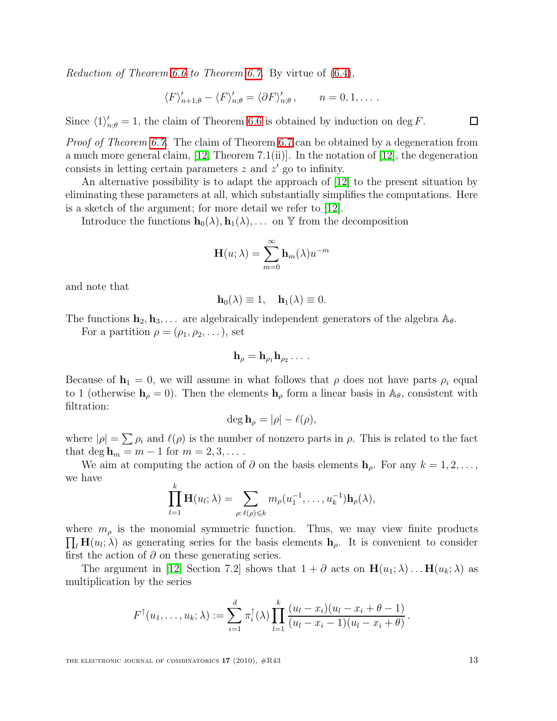Reduction of Theorem [6.6](#page-11-1) to Theorem [6.7.](#page-11-3) By virtue of [\(6.4\)](#page-11-0),

$$
\langle F \rangle'_{n+1;\theta} - \langle F \rangle'_{n;\theta} = \langle \partial F \rangle'_{n;\theta}, \qquad n = 0, 1, \dots.
$$

Since  $\langle 1 \rangle'_{n;\theta} = 1$ , the claim of Theorem [6.6](#page-11-1) is obtained by induction on deg F.

Proof of Theorem [6.7.](#page-11-3) The claim of Theorem [6.7](#page-11-3) can be obtained by a degeneration from a much more general claim,  $[12,$  Theorem 7.1(ii)]. In the notation of  $[12]$ , the degeneration consists in letting certain parameters  $z$  and  $z'$  go to infinity.

An alternative possibility is to adapt the approach of [\[12\]](#page-14-3) to the present situation by eliminating these parameters at all, which substantially simplifies the computations. Here is a sketch of the argument; for more detail we refer to [\[12\]](#page-14-3).

Introduce the functions  $\mathbf{h}_0(\lambda), \mathbf{h}_1(\lambda), \ldots$  on Y from the decomposition

$$
\mathbf{H}(u;\lambda) = \sum_{m=0}^{\infty} \mathbf{h}_m(\lambda) u^{-m}
$$

and note that

$$
\mathbf{h}_0(\lambda) \equiv 1, \quad \mathbf{h}_1(\lambda) \equiv 0.
$$

The functions  $\mathbf{h}_2, \mathbf{h}_3, \ldots$  are algebraically independent generators of the algebra  $\mathbb{A}_{\theta}$ .

For a partition  $\rho = (\rho_1, \rho_2, \dots)$ , set

$$
\mathbf{h}_{\rho}=\mathbf{h}_{\rho_1}\mathbf{h}_{\rho_2}\ldots\,.
$$

Because of  $\mathbf{h}_1 = 0$ , we will assume in what follows that  $\rho$  does not have parts  $\rho_i$  equal to 1 (otherwise  $h_{\rho} = 0$ ). Then the elements  $h_{\rho}$  form a linear basis in  $\mathbb{A}_{\theta}$ , consistent with filtration:

$$
\deg \mathbf{h}_{\rho} = |\rho| - \ell(\rho),
$$

where  $|\rho| = \sum \rho_i$  and  $\ell(\rho)$  is the number of nonzero parts in  $\rho$ . This is related to the fact that deg  $h_m = m - 1$  for  $m = 2, 3, \ldots$ .

We aim at computing the action of  $\partial$  on the basis elements  $\mathbf{h}_{\rho}$ . For any  $k = 1, 2, \ldots$ , we have k

$$
\prod_{l=1}^{\kappa} \mathbf{H}(u_l; \lambda) = \sum_{\rho: \ell(\rho) \leqslant k} m_{\rho}(u_1^{-1}, \dots, u_k^{-1}) \mathbf{h}_{\rho}(\lambda),
$$

where  $m_{\rho}$  is the monomial symmetric function. Thus, we may view finite products  $\prod_l \mathbf{H}(u_l; \lambda)$  as generating series for the basis elements  $\mathbf{h}_{\rho}$ . It is convenient to consider first the action of  $\partial$  on these generating series.

The argument in [\[12,](#page-14-3) Section 7.2] shows that  $1 + \partial$  acts on  $H(u_1; \lambda) \dots H(u_k; \lambda)$  as multiplication by the series

$$
F^{\uparrow}(u_1,\ldots,u_k;\lambda) := \sum_{i=1}^d \pi_i^{\uparrow}(\lambda) \prod_{l=1}^k \frac{(u_l-x_i)(u_l-x_i+\theta-1)}{(u_l-x_i-1)(u_l-x_i+\theta)}.
$$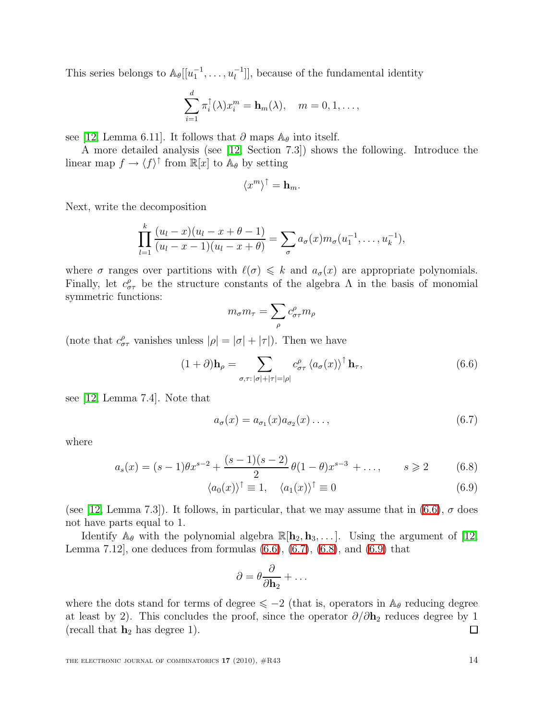This series belongs to  $\mathbb{A}_{\theta}[[u_1^{-1},...,u_l^{-1}]],$  because of the fundamental identity

$$
\sum_{i=1}^d \pi_i^{\uparrow}(\lambda) x_i^m = \mathbf{h}_m(\lambda), \quad m = 0, 1, \dots,
$$

see [\[12,](#page-14-3) Lemma 6.11]. It follows that  $\partial$  maps  $\mathbb{A}_{\theta}$  into itself.

A more detailed analysis (see [\[12,](#page-14-3) Section 7.3]) shows the following. Introduce the linear map  $f \to \langle f \rangle^{\dagger}$  from  $\mathbb{R}[x]$  to  $\mathbb{A}_{\theta}$  by setting

$$
\langle x^m \rangle^{\uparrow} = \mathbf{h}_m.
$$

Next, write the decomposition

$$
\prod_{l=1}^k \frac{(u_l - x)(u_l - x + \theta - 1)}{(u_l - x - 1)(u_l - x + \theta)} = \sum_{\sigma} a_{\sigma}(x) m_{\sigma}(u_1^{-1}, \dots, u_k^{-1}),
$$

where  $\sigma$  ranges over partitions with  $\ell(\sigma) \leq k$  and  $a_{\sigma}(x)$  are appropriate polynomials. Finally, let  $c^{\rho}_{\sigma\tau}$  be the structure constants of the algebra  $\Lambda$  in the basis of monomial symmetric functions:

$$
m_{\sigma}m_{\tau} = \sum_{\rho} c^{\rho}_{\sigma\tau} m_{\rho}
$$

<span id="page-13-0"></span>(note that  $c^{\rho}_{\sigma\tau}$  vanishes unless  $|\rho| = |\sigma| + |\tau|$ ). Then we have

<span id="page-13-1"></span>
$$
(1+\partial)\mathbf{h}_{\rho} = \sum_{\sigma,\tau: |\sigma|+|\tau|=|\rho|} c^{\rho}_{\sigma\tau} \langle a_{\sigma}(x) \rangle^{\uparrow} \mathbf{h}_{\tau}, \tag{6.6}
$$

see [\[12,](#page-14-3) Lemma 7.4]. Note that

<span id="page-13-3"></span><span id="page-13-2"></span>
$$
a_{\sigma}(x) = a_{\sigma_1}(x)a_{\sigma_2}(x)\dots,
$$
\n(6.7)

where

$$
a_s(x) = (s-1)\theta x^{s-2} + \frac{(s-1)(s-2)}{2}\theta(1-\theta)x^{s-3} + \dots, \qquad s \geq 2 \tag{6.8}
$$

$$
\langle a_0(x) \rangle^{\dagger} \equiv 1, \quad \langle a_1(x) \rangle^{\dagger} \equiv 0 \tag{6.9}
$$

(see [\[12,](#page-14-3) Lemma 7.3]). It follows, in particular, that we may assume that in  $(6.6)$ ,  $\sigma$  does not have parts equal to 1.

Identify  $\mathbb{A}_{\theta}$  with the polynomial algebra  $\mathbb{R}[\mathbf{h}_2, \mathbf{h}_3, \dots]$ . Using the argument of [\[12,](#page-14-3) Lemma 7.12, one deduces from formulas  $(6.6)$ ,  $(6.7)$ ,  $(6.8)$ , and  $(6.9)$  that

$$
\partial = \theta \frac{\partial}{\partial \mathbf{h}_2} + \dots
$$

where the dots stand for terms of degree  $\leq -2$  (that is, operators in  $\mathbb{A}_{\theta}$  reducing degree at least by 2). This concludes the proof, since the operator  $\partial/\partial h_2$  reduces degree by 1 (recall that  $h_2$  has degree 1).  $\Box$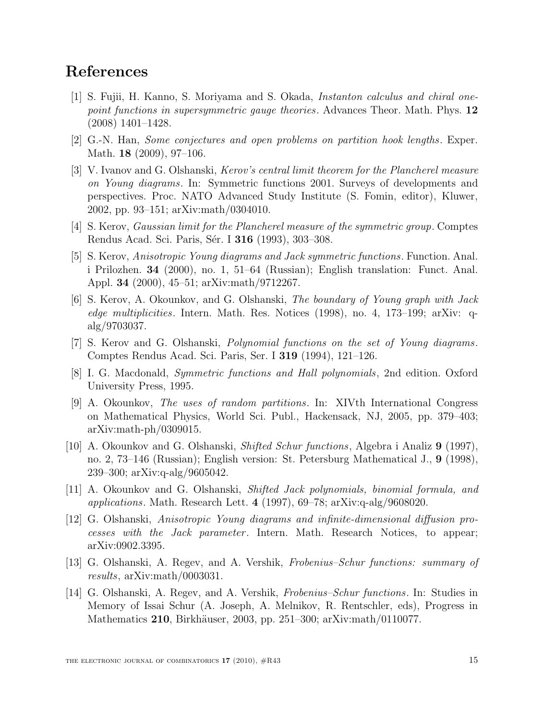# <span id="page-14-5"></span>References

- [1] S. Fujii, H. Kanno, S. Moriyama and S. Okada, Instanton calculus and chiral onepoint functions in supersymmetric gauge theories. Advances Theor. Math. Phys. 12 (2008) 1401–1428.
- <span id="page-14-7"></span><span id="page-14-4"></span>[2] G.-N. Han, Some conjectures and open problems on partition hook lengths. Exper. Math. 18 (2009), 97–106.
- [3] V. Ivanov and G. Olshanski, Kerov's central limit theorem for the Plancherel measure on Young diagrams. In: Symmetric functions 2001. Surveys of developments and perspectives. Proc. NATO Advanced Study Institute (S. Fomin, editor), Kluwer, 2002, pp. 93–151; arXiv:math/0304010.
- <span id="page-14-8"></span><span id="page-14-2"></span>[4] S. Kerov, Gaussian limit for the Plancherel measure of the symmetric group. Comptes Rendus Acad. Sci. Paris, Sér. I **316** (1993), 303–308.
- [5] S. Kerov, Anisotropic Young diagrams and Jack symmetric functions. Function. Anal. i Prilozhen. 34 (2000), no. 1, 51–64 (Russian); English translation: Funct. Anal. Appl. 34 (2000), 45–51; arXiv:math/9712267.
- <span id="page-14-12"></span>[6] S. Kerov, A. Okounkov, and G. Olshanski, The boundary of Young graph with Jack edge multiplicities. Intern. Math. Res. Notices (1998), no. 4, 173–199; arXiv: qalg/9703037.
- <span id="page-14-6"></span>[7] S. Kerov and G. Olshanski, Polynomial functions on the set of Young diagrams. Comptes Rendus Acad. Sci. Paris, Ser. I 319 (1994), 121–126.
- <span id="page-14-13"></span><span id="page-14-11"></span>[8] I. G. Macdonald, Symmetric functions and Hall polynomials, 2nd edition. Oxford University Press, 1995.
- [9] A. Okounkov, The uses of random partitions. In: XIVth International Congress on Mathematical Physics, World Sci. Publ., Hackensack, NJ, 2005, pp. 379–403; arXiv:math-ph/0309015.
- <span id="page-14-0"></span>[10] A. Okounkov and G. Olshanski, Shifted Schur functions, Algebra i Analiz 9 (1997), no. 2, 73–146 (Russian); English version: St. Petersburg Mathematical J., 9 (1998), 239–300; arXiv:q-alg/9605042.
- <span id="page-14-3"></span><span id="page-14-1"></span>[11] A. Okounkov and G. Olshanski, Shifted Jack polynomials, binomial formula, and applications. Math. Research Lett. 4 (1997),  $69-78$ ; arXiv:q-alg/9608020.
- [12] G. Olshanski, Anisotropic Young diagrams and infinite-dimensional diffusion processes with the Jack parameter. Intern. Math. Research Notices, to appear; arXiv:0902.3395.
- <span id="page-14-10"></span>[13] G. Olshanski, A. Regev, and A. Vershik, Frobenius–Schur functions: summary of results, arXiv:math/0003031.
- <span id="page-14-9"></span>[14] G. Olshanski, A. Regev, and A. Vershik, Frobenius–Schur functions. In: Studies in Memory of Issai Schur (A. Joseph, A. Melnikov, R. Rentschler, eds), Progress in Mathematics 210, Birkhäuser, 2003, pp. 251–300; arXiv:math/0110077.